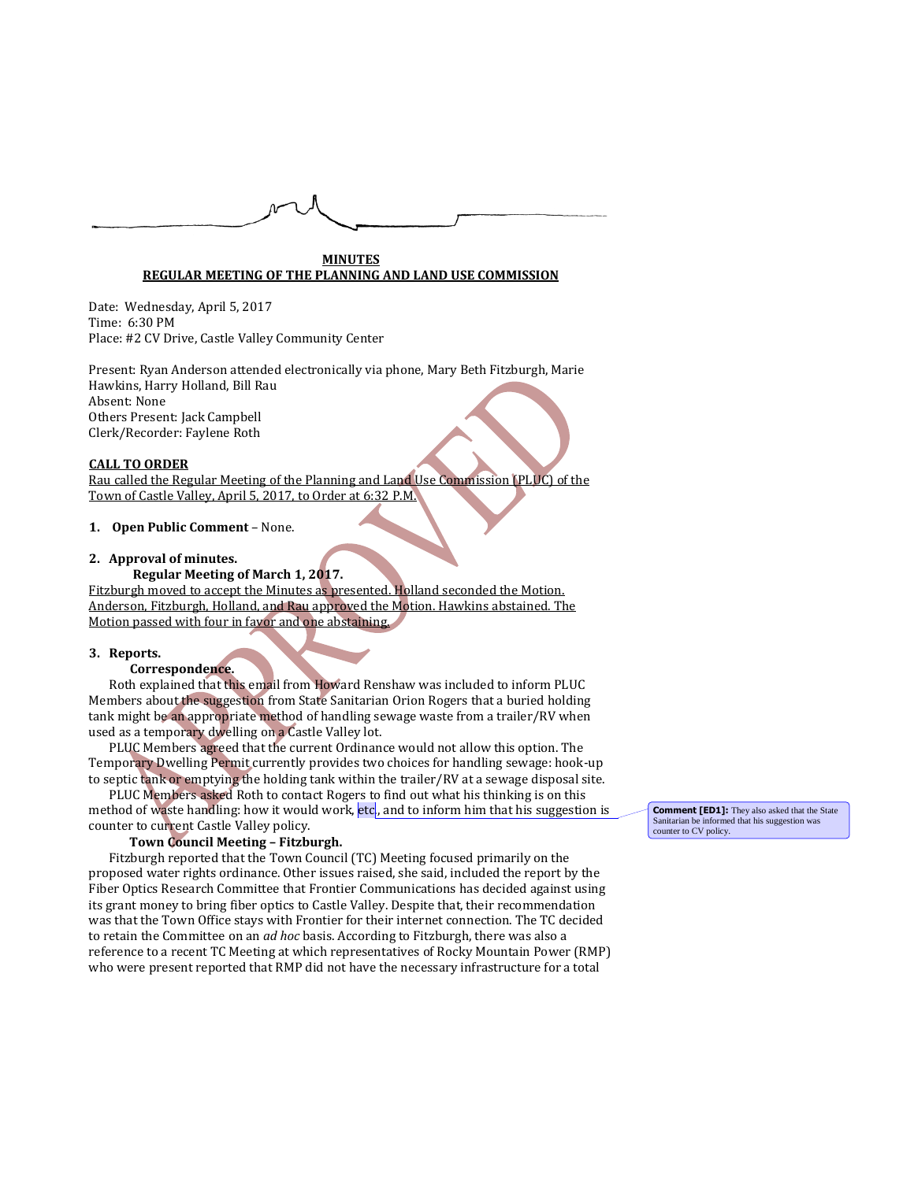

### **MINUTES REGULAR MEETING OF THE PLANNING AND LAND USE COMMISSION**

Date: Wednesday, April 5, 2017 Time: 6:30 PM Place: #2 CV Drive, Castle Valley Community Center

Present: Ryan Anderson attended electronically via phone, Mary Beth Fitzburgh, Marie Hawkins, Harry Holland, Bill Rau Absent: None Others Present: Jack Campbell Clerk/Recorder: Faylene Roth

## **CALL TO ORDER**

Rau called the Regular Meeting of the Planning and Land Use Commission (PLUC) of the Town of Castle Valley, April 5, 2017, to Order at 6:32 P.M.

## **1. Open Public Comment** – None.

## **2. Approval of minutes.**

# **Regular Meeting of March 1, 2017.**

Fitzburgh moved to accept the Minutes as presented. Holland seconded the Motion. Anderson, Fitzburgh, Holland, and Rau approved the Motion. Hawkins abstained. The Motion passed with four in favor and one abstaining.

### **3. Reports.**

## **Correspondence.**

Roth explained that this email from Howard Renshaw was included to inform PLUC Members about the suggestion from State Sanitarian Orion Rogers that a buried holding tank might be an appropriate method of handling sewage waste from a trailer/RV when used as a temporary dwelling on a Castle Valley lot.

PLUC Members agreed that the current Ordinance would not allow this option. The Temporary Dwelling Permit currently provides two choices for handling sewage: hook-up to septic tank or emptying the holding tank within the trailer/RV at a sewage disposal site.

PLUC Members asked Roth to contact Rogers to find out what his thinking is on this method of waste handling: how it would work, etc., and to inform him that his suggestion is counter to current Castle Valley policy.

### **Town Council Meeting – Fitzburgh.**

Fitzburgh reported that the Town Council (TC) Meeting focused primarily on the proposed water rights ordinance. Other issues raised, she said, included the report by the Fiber Optics Research Committee that Frontier Communications has decided against using its grant money to bring fiber optics to Castle Valley. Despite that, their recommendation was that the Town Office stays with Frontier for their internet connection. The TC decided to retain the Committee on an *ad hoc* basis. According to Fitzburgh, there was also a reference to a recent TC Meeting at which representatives of Rocky Mountain Power (RMP) who were present reported that RMP did not have the necessary infrastructure for a total

**Comment [ED1]:** They also asked that the State Sanitarian be informed that his suggestion was counter to CV policy.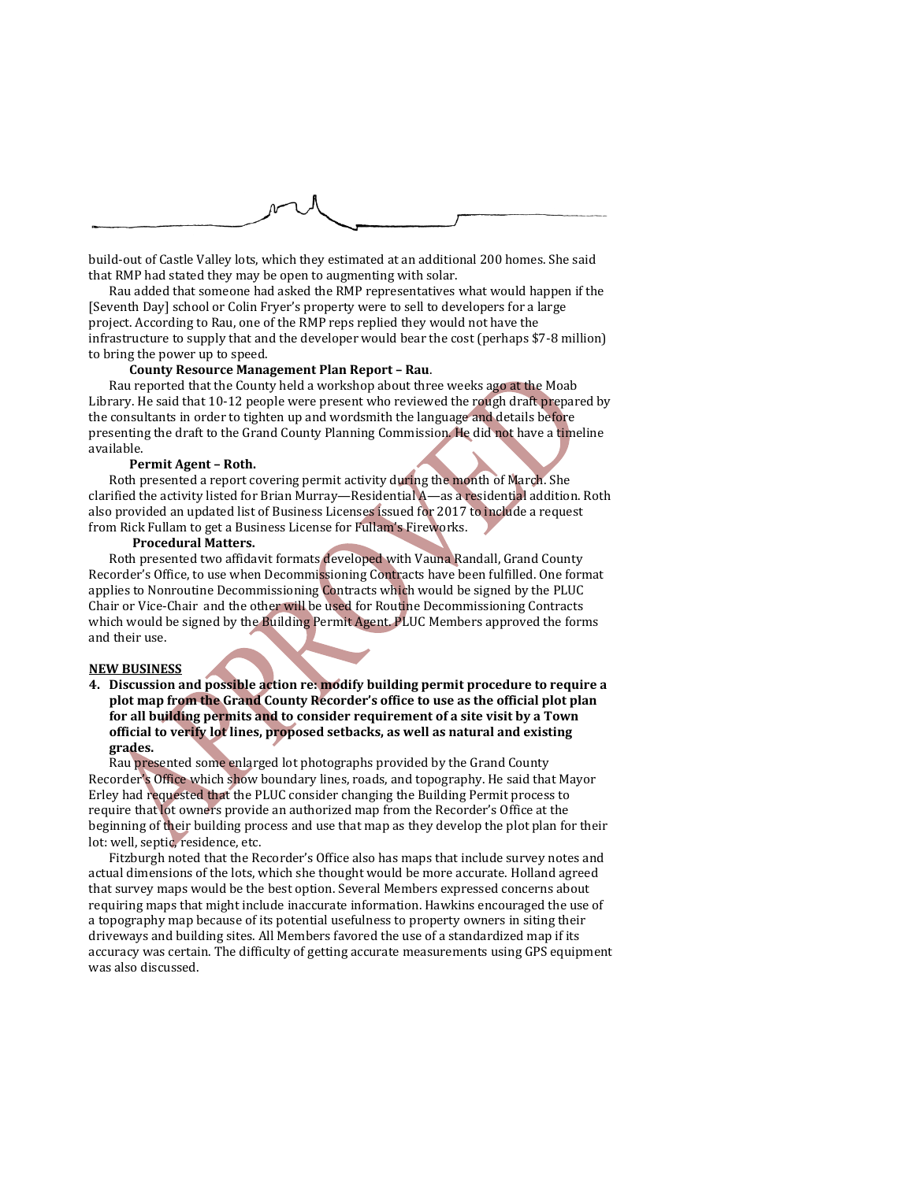

build-out of Castle Valley lots, which they estimated at an additional 200 homes. She said that RMP had stated they may be open to augmenting with solar.

Rau added that someone had asked the RMP representatives what would happen if the [Seventh Day] school or Colin Fryer's property were to sell to developers for a large project. According to Rau, one of the RMP reps replied they would not have the infrastructure to supply that and the developer would bear the cost (perhaps \$7-8 million) to bring the power up to speed.

## **County Resource Management Plan Report – Rau**.

Rau reported that the County held a workshop about three weeks ago at the Moab Library. He said that 10-12 people were present who reviewed the rough draft prepared by the consultants in order to tighten up and wordsmith the language and details before presenting the draft to the Grand County Planning Commission. He did not have a timeline available.

#### **Permit Agent – Roth.**

Roth presented a report covering permit activity during the month of March. She clarified the activity listed for Brian Murray—Residential A—as a residential addition. Roth also provided an updated list of Business Licenses issued for 2017 to include a request from Rick Fullam to get a Business License for Fullam's Fireworks.

## **Procedural Matters.**

Roth presented two affidavit formats developed with Vauna Randall, Grand County Recorder's Office, to use when Decommissioning Contracts have been fulfilled. One format applies to Nonroutine Decommissioning Contracts which would be signed by the PLUC Chair or Vice-Chair and the other will be used for Routine Decommissioning Contracts which would be signed by the Building Permit Agent. PLUC Members approved the forms and their use.

## **NEW BUSINESS**

**4. Discussion and possible action re: modify building permit procedure to require a plot map from the Grand County Recorder's office to use as the official plot plan for all building permits and to consider requirement of a site visit by a Town official to verify lot lines, proposed setbacks, as well as natural and existing grades.**

Rau presented some enlarged lot photographs provided by the Grand County Recorder's Office which show boundary lines, roads, and topography. He said that Mayor Erley had requested that the PLUC consider changing the Building Permit process to require that lot owners provide an authorized map from the Recorder's Office at the beginning of their building process and use that map as they develop the plot plan for their lot: well, septic, residence, etc.

Fitzburgh noted that the Recorder's Office also has maps that include survey notes and actual dimensions of the lots, which she thought would be more accurate. Holland agreed that survey maps would be the best option. Several Members expressed concerns about requiring maps that might include inaccurate information. Hawkins encouraged the use of a topography map because of its potential usefulness to property owners in siting their driveways and building sites. All Members favored the use of a standardized map if its accuracy was certain. The difficulty of getting accurate measurements using GPS equipment was also discussed.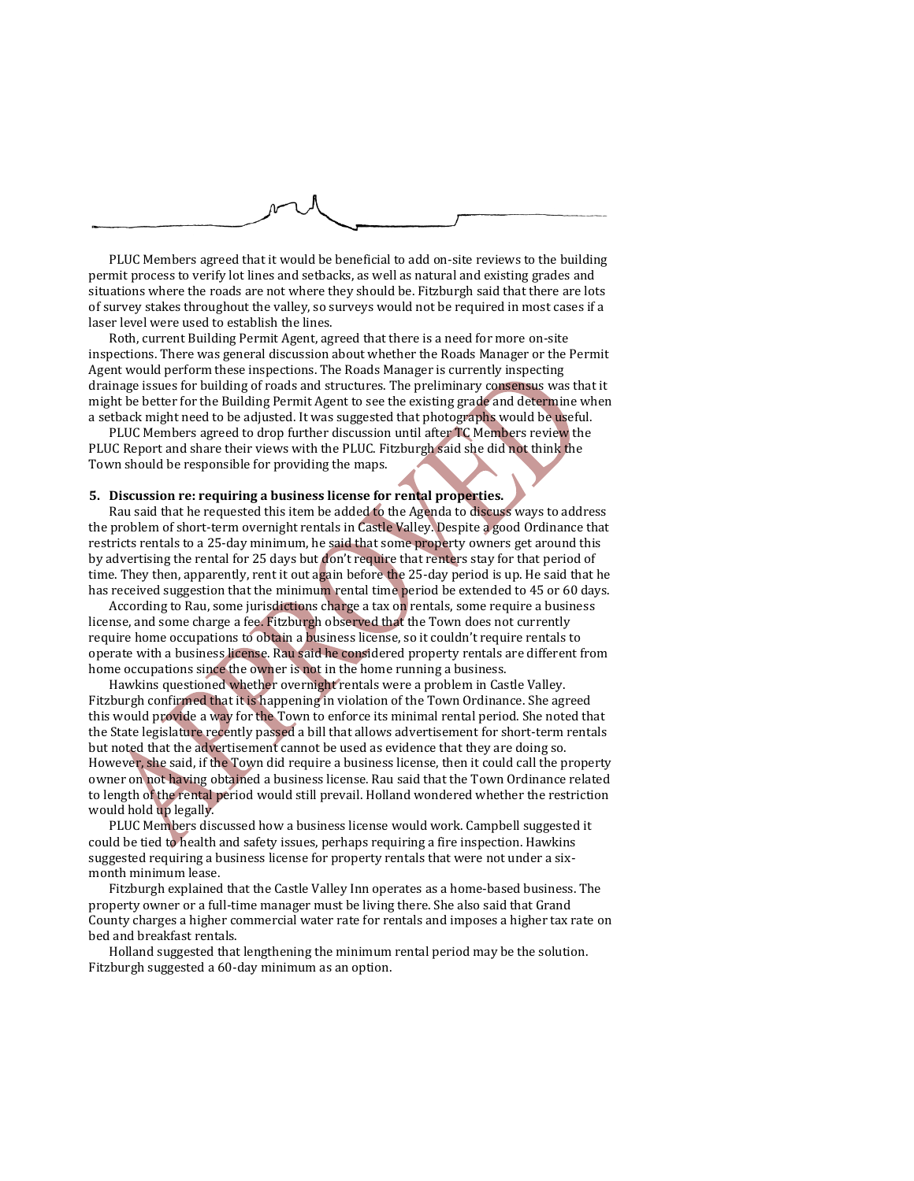

PLUC Members agreed that it would be beneficial to add on-site reviews to the building permit process to verify lot lines and setbacks, as well as natural and existing grades and situations where the roads are not where they should be. Fitzburgh said that there are lots of survey stakes throughout the valley, so surveys would not be required in most cases if a laser level were used to establish the lines.

Roth, current Building Permit Agent, agreed that there is a need for more on-site inspections. There was general discussion about whether the Roads Manager or the Permit Agent would perform these inspections. The Roads Manager is currently inspecting drainage issues for building of roads and structures. The preliminary consensus was that it might be better for the Building Permit Agent to see the existing grade and determine when a setback might need to be adjusted. It was suggested that photographs would be useful.

PLUC Members agreed to drop further discussion until after TC Members review the PLUC Report and share their views with the PLUC. Fitzburgh said she did not think the Town should be responsible for providing the maps.

# **5. Discussion re: requiring a business license for rental properties.**

Rau said that he requested this item be added to the Agenda to discuss ways to address the problem of short-term overnight rentals in Castle Valley. Despite a good Ordinance that restricts rentals to a 25-day minimum, he said that some property owners get around this by advertising the rental for 25 days but don't require that renters stay for that period of time. They then, apparently, rent it out again before the 25-day period is up. He said that he has received suggestion that the minimum rental time period be extended to 45 or 60 days.

According to Rau, some jurisdictions charge a tax on rentals, some require a business license, and some charge a fee. Fitzburgh observed that the Town does not currently require home occupations to obtain a business license, so it couldn't require rentals to operate with a business license. Rau said he considered property rentals are different from home occupations since the owner is not in the home running a business.

Hawkins questioned whether overnight rentals were a problem in Castle Valley. Fitzburgh confirmed that it is happening in violation of the Town Ordinance. She agreed this would provide a way for the Town to enforce its minimal rental period. She noted that the State legislature recently passed a bill that allows advertisement for short-term rentals but noted that the advertisement cannot be used as evidence that they are doing so. However, she said, if the Town did require a business license, then it could call the property owner on not having obtained a business license. Rau said that the Town Ordinance related to length of the rental period would still prevail. Holland wondered whether the restriction would hold up legally.

PLUC Members discussed how a business license would work. Campbell suggested it could be tied to health and safety issues, perhaps requiring a fire inspection. Hawkins suggested requiring a business license for property rentals that were not under a sixmonth minimum lease.

Fitzburgh explained that the Castle Valley Inn operates as a home-based business. The property owner or a full-time manager must be living there. She also said that Grand County charges a higher commercial water rate for rentals and imposes a higher tax rate on bed and breakfast rentals.

Holland suggested that lengthening the minimum rental period may be the solution. Fitzburgh suggested a 60-day minimum as an option.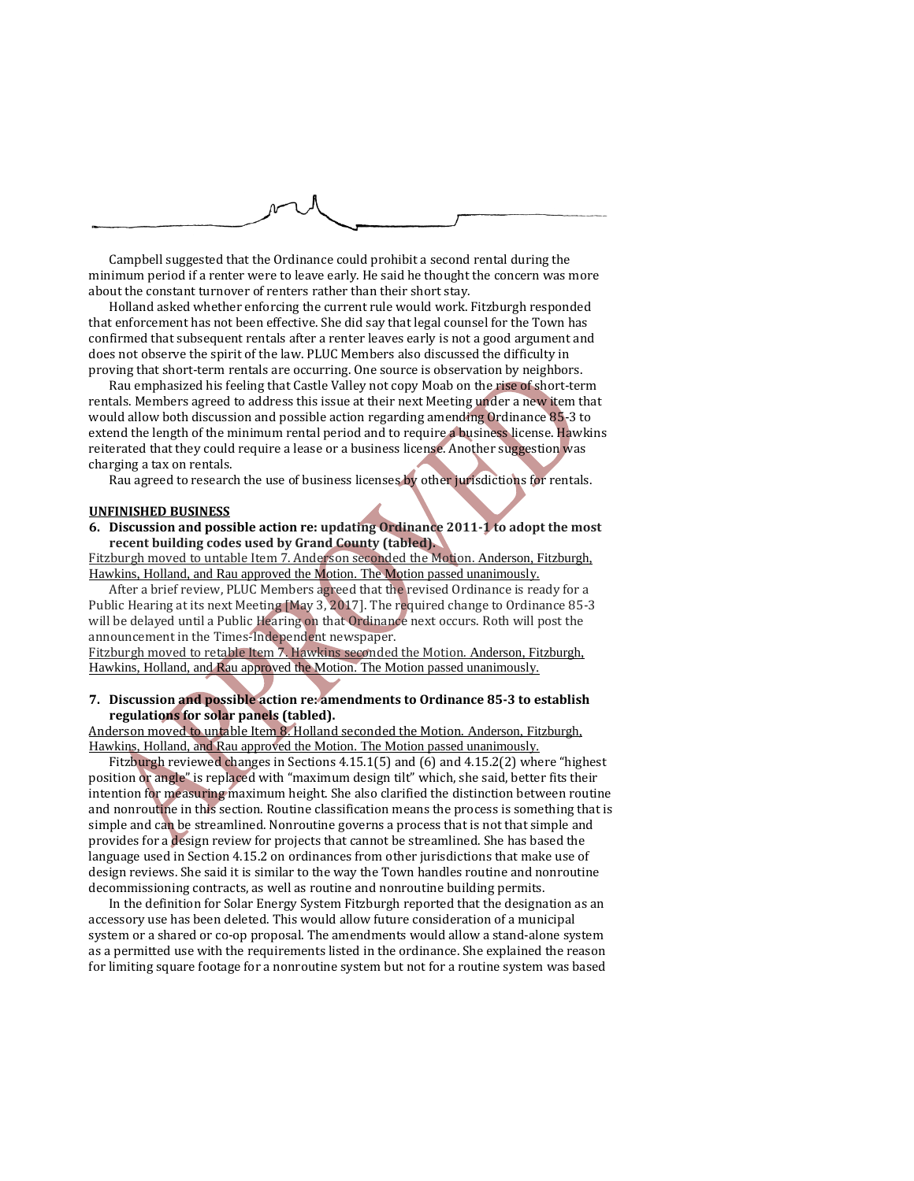

Campbell suggested that the Ordinance could prohibit a second rental during the minimum period if a renter were to leave early. He said he thought the concern was more about the constant turnover of renters rather than their short stay.

Holland asked whether enforcing the current rule would work. Fitzburgh responded that enforcement has not been effective. She did say that legal counsel for the Town has confirmed that subsequent rentals after a renter leaves early is not a good argument and does not observe the spirit of the law. PLUC Members also discussed the difficulty in proving that short-term rentals are occurring. One source is observation by neighbors.

Rau emphasized his feeling that Castle Valley not copy Moab on the rise of short-term rentals. Members agreed to address this issue at their next Meeting under a new item that would allow both discussion and possible action regarding amending Ordinance 85-3 to extend the length of the minimum rental period and to require a business license. Hawkins reiterated that they could require a lease or a business license. Another suggestion was charging a tax on rentals.

Rau agreed to research the use of business licenses by other jurisdictions for rentals.

#### **UNFINISHED BUSINESS**

**6. Discussion and possible action re: updating Ordinance 2011-1 to adopt the most recent building codes used by Grand County (tabled).**

Fitzburgh moved to untable Item 7. Anderson seconded the Motion. Anderson, Fitzburgh, Hawkins, Holland, and Rau approved the Motion. The Motion passed unanimously.

After a brief review, PLUC Members agreed that the revised Ordinance is ready for a Public Hearing at its next Meeting [May 3, 2017]. The required change to Ordinance 85-3 will be delayed until a Public Hearing on that Ordinance next occurs. Roth will post the announcement in the Times-Independent newspaper.

Fitzburgh moved to retable Item 7. Hawkins seconded the Motion. Anderson, Fitzburgh, Hawkins, Holland, and Rau approved the Motion. The Motion passed unanimously.

## **7. Discussion and possible action re: amendments to Ordinance 85-3 to establish regulations for solar panels (tabled).**

Anderson moved to untable Item 8. Holland seconded the Motion. Anderson, Fitzburgh, Hawkins, Holland, and Rau approved the Motion. The Motion passed unanimously.

Fitzburgh reviewed changes in Sections 4.15.1(5) and (6) and 4.15.2(2) where "highest position or angle" is replaced with "maximum design tilt" which, she said, better fits their intention for measuring maximum height. She also clarified the distinction between routine and nonroutine in this section. Routine classification means the process is something that is simple and can be streamlined. Nonroutine governs a process that is not that simple and provides for a design review for projects that cannot be streamlined. She has based the language used in Section 4.15.2 on ordinances from other jurisdictions that make use of design reviews. She said it is similar to the way the Town handles routine and nonroutine decommissioning contracts, as well as routine and nonroutine building permits.

In the definition for Solar Energy System Fitzburgh reported that the designation as an accessory use has been deleted. This would allow future consideration of a municipal system or a shared or co-op proposal. The amendments would allow a stand-alone system as a permitted use with the requirements listed in the ordinance. She explained the reason for limiting square footage for a nonroutine system but not for a routine system was based